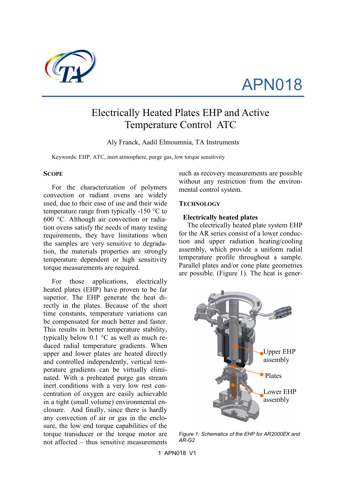



# Electrically Heated Plates EHP and Active Temperature Control ATC

Aly Franck, Aadil Elmoumnia, TA Instruments

Keywords: EHP, ATC, inert atmosphere, purge gas, low torque sensitivity

## **SCOPE**

For the characterization of polymers convection or radiant ovens are widely used, due to their ease of use and their wide temperature range from typically -150 °C to 600 °C. Although air convection or radiation ovens satisfy the needs of many testing requirements, they have limitations when the samples are very sensitive to degradation, the materials properties are strongly temperature dependent or high sensitivity torque measurements are required.

For those applications, electrically heated plates (EHP) have proven to be far superior. The EHP generate the heat directly in the plates. Because of the short time constants, temperature variations can be compensated for much better and faster. This results in better temperature stability, typically below 0.1 °C as well as much reduced radial temperature gradients. When upper and lower plates are heated directly and controlled independently, vertical temperature gradients can be virtually eliminated. With a preheated purge gas stream inert conditions with a very low rest concentration of oxygen are easily achievable in a tight (small volume) environmental enclosure. And finally, since there is hardly any convection of air or gas in the enclosure, the low end torque capabilities of the torque transducer or the torque motor are not affected – thus sensitive measurements

such as recovery measurements are possible without any restriction from the environmental control system.

# **TECHNOLOGY**

## Electrically heated plates

The electrically heated plate system EHP for the AR series consist of a lower conduction and upper radiation heating/cooling assembly, which provide a uniform radial temperature profile throughout a sample. Parallel plates and/or cone plate geometries are possible. (Figure 1). The heat is gener-



Figure 1: Schematics of the EHP for AR2000EX and  $A\overline{R}$ -G<sub>2</sub>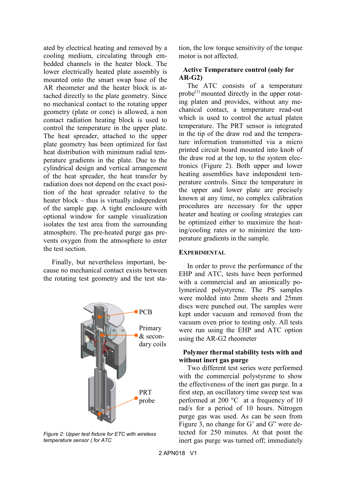ated by electrical heating and removed by a cooling medium, circulating through embedded channels in the heater block. The lower electrically heated plate assembly is mounted onto the smart swap base of the AR rheometer and the heater block is attached directly to the plate geometry. Since no mechanical contact to the rotating upper geometry (plate or cone) is allowed, a non contact radiation heating block is used to control the temperature in the upper plate. The heat spreader, attached to the upper plate geometry has been optimized for fast heat distribution with minimum radial temperature gradients in the plate. Due to the cylindrical design and vertical arrangement of the heat spreader, the heat transfer by radiation does not depend on the exact position of the heat spreader relative to the heater block – thus is virtually independent of the sample gap. A tight enclosure with optional window for sample visualization isolates the test area from the surrounding atmosphere. The pre-heated purge gas prevents oxygen from the atmosphere to enter the test section.

Finally, but nevertheless important, because no mechanical contact exists between the rotating test geometry and the test sta-



Figure 2: Upper test fixture for ETC with wireless temperature sensor ( for ATC

tion, the low torque sensitivity of the torque motor is not affected.

## Active Temperature control (only for AR-G2)

The ATC consists of a temperature probe $^{(1)}$  mounted directly in the upper rotating platen and provides, without any mechanical contact, a temperature read-out which is used to control the actual platen temperature. The PRT sensor is integrated in the tip of the draw rod and the temperature information transmitted via a micro printed circuit board mounted into knob of the draw rod at the top, to the system electronics (Figure 2). Both upper and lower heating assemblies have independent temperature controls. Since the temperature in the upper and lower plate are precisely known at any time, no complex calibration procedures are necessary for the upper heater and heating or cooling strategies can be optimized either to maximize the heating/cooling rates or to minimize the temperature gradients in the sample.

#### **EXPERIMENTAL**

In order to prove the performance of the EHP and ATC, tests have been performed with a commercial and an anionically polymerized polystyrene. The PS samples were molded into 2mm sheets and 25mm discs were punched out. The samples were kept under vacuum and removed from the vacuum oven prior to testing only. All tests were run using the EHP and ATC option using the AR-G2 rheometer

# Polymer thermal stability tests with and without inert gas purge

Two different test series were performed with the commercial polystyrene to show the effectiveness of the inert gas purge. In a first step, an oscillatory time sweep test was performed at 200 °C at a frequency of 10 rad/s for a period of 10 hours. Nitrogen purge gas was used. As can be seen from Figure 3, no change for G' and G" were detected for 250 minutes. At that point the inert gas purge was turned off; immediately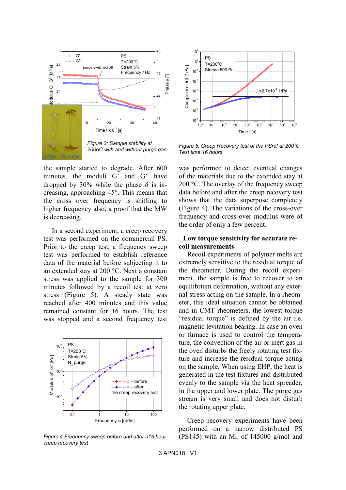

the sample started to degrade. After 600 minutes, the moduli G' and G" have dropped by 30% while the phase  $\delta$  is increasing, approaching 45°. This means that the cross over frequency is shifting to higher frequency also, a proof that the MW is decreasing.

In a second experiment, a creep recovery test was performed on the commercial PS. Prior to the creep test, a frequency sweep test was performed to establish reference data of the material before subjecting it to an extended stay at 200 °C. Next a constant stress was applied to the sample for 300 minutes followed by a recoil test at zero stress (Figure 5). A steady state was reached after 400 minutes and this value remained constant for 16 hours. The test was stopped and a second frequency test



Figure 4:Frequency sweep before and after a16 hour creep recovery test



Figure 5: Creep Recovery test of the PSref at 200°C. Test time 16 hours

was performed to detect eventual changes of the materials due to the extended stay at 200 °C. The overlay of the frequency sweep data before and after the creep recovery test shows that the data superpose completely (Figure 4). The variations of the cross-over frequency and cross over modulus were of the order of only a few percent.

## Low torque sensitivity for accurate recoil measurements

Recoil experiments of polymer melts are extremely sensitive to the residual torque of the rheometer. During the recoil experiment, the sample is free to recover to an equilibrium deformation, without any external stress acting on the sample. In a rheometer, this ideal situation cannot be obtained and in CMT rheometers, the lowest torque "residual torque" is defined by the air i.e. magnetic levitation bearing. In case an oven or furnace is used to control the temperature, the convection of the air or inert gas in the oven disturbs the freely rotating test fixture and increase the residual torque acting on the sample. When using EHP, the heat is generated in the test fixtures and distributed evenly to the sample via the heat spreader, in the upper and lower plate. The purge gas stream is very small and does not disturb the rotating upper plate.

Creep recovery experiments have been performed on a narrow distributed PS (PS145) with an  $M_w$  of 145000 g/mol and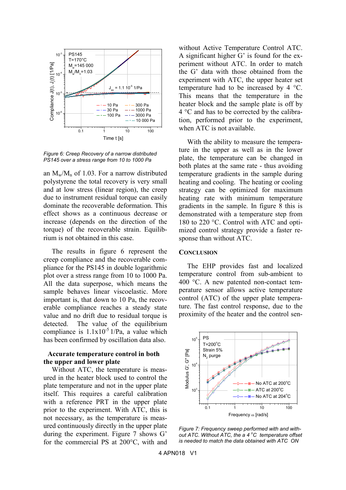

Figure 6: Creep Recovery of a narrow distributed PS145 over a stress range from 10 to 1000 Pa

an  $M_w/M_n$  of 1.03. For a narrow distributed polystyrene the total recovery is very small and at low stress (linear region), the creep due to instrument residual torque can easily dominate the recoverable deformation. This effect shows as a continuous decrease or increase (depends on the direction of the torque) of the recoverable strain. Equilibrium is not obtained in this case.

The results in figure 6 represent the creep compliance and the recoverable compliance for the PS145 in double logarithmic plot over a stress range from 10 to 1000 Pa. All the data superpose, which means the sample behaves linear viscoelastic. More important is, that down to 10 Pa, the recoverable compliance reaches a steady state value and no drift due to residual torque is detected. The value of the equilibrium compliance is  $1.1x10^{-5}1/Pa$ , a value which has been confirmed by oscillation data also.

# Accurate temperature control in both the upper and lower plate

Without ATC, the temperature is measured in the heater block used to control the plate temperature and not in the upper plate itself. This requires a careful calibration with a reference PRT in the upper plate prior to the experiment. With ATC, this is not necessary, as the temperature is measured continuously directly in the upper plate during the experiment. Figure 7 shows G' for the commercial PS at 200°C, with and without Active Temperature Control ATC. A significant higher G' is found for the experiment without ATC. In order to match the G' data with those obtained from the experiment with ATC, the upper heater set temperature had to be increased by 4 °C. This means that the temperature in the heater block and the sample plate is off by 4 °C and has to be corrected by the calibration, performed prior to the experiment, when ATC is not available.

With the ability to measure the temperature in the upper as well as in the lower plate, the temperature can be changed in both plates at the same rate - thus avoiding temperature gradients in the sample during heating and cooling. The heating or cooling strategy can be optimized for maximum heating rate with minimum temperature gradients in the sample. In figure 8 this is demonstrated with a temperature step from 180 to 220 °C. Control with ATC and optimized control strategy provide a faster response than without ATC.

#### **CONCLUSION**

The EHP provides fast and localized temperature control from sub-ambient to 400 °C. A new patented non-contact temperature sensor allows active temperature control (ATC) of the upper plate temperature. The fast control response, due to the proximity of the heater and the control sen-



Figure 7: Frequency sweep performed with and without ATC. Without ATC, the a  $4^{\circ}$ C temperature offset is needed to match the data obtained with ATC ON